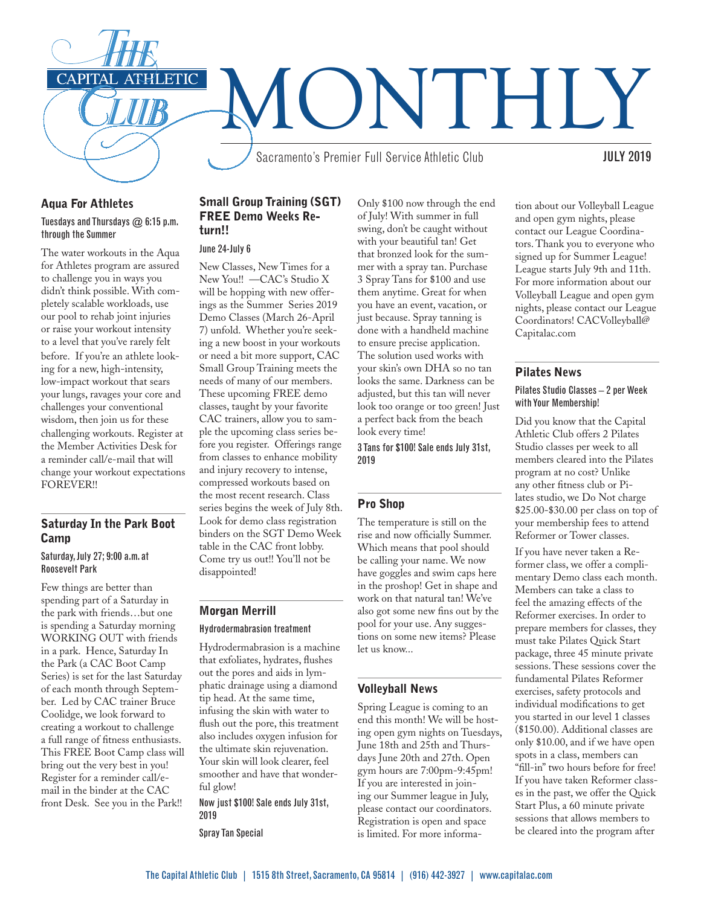

### Aqua For Athletes Tuesdays and Thursdays @ 6:15 p.m. through the Summer

The water workouts in the Aqua for Athletes program are assured to challenge you in ways you didn't think possible. With completely scalable workloads, use our pool to rehab joint injuries or raise your workout intensity to a level that you've rarely felt before. If you're an athlete looking for a new, high-intensity, low-impact workout that sears your lungs, ravages your core and challenges your conventional wisdom, then join us for these challenging workouts. Register at the Member Activities Desk for a reminder call/e-mail that will change your workout expectations FOREVER!!

# Saturday In the Park Boot **Camp**

#### Saturday, July 27; 9:00 a.m. at Roosevelt Park

Few things are better than spending part of a Saturday in the park with friends…but one is spending a Saturday morning WORKING OUT with friends in a park. Hence, Saturday In the Park (a CAC Boot Camp Series) is set for the last Saturday of each month through September. Led by CAC trainer Bruce Coolidge, we look forward to creating a workout to challenge a full range of fitness enthusiasts. This FREE Boot Camp class will bring out the very best in you! Register for a reminder call/email in the binder at the CAC front Desk. See you in the Park!!

# Small Group Training (SGT) FREE Demo Weeks Return!!

#### June 24-July 6

New Classes, New Times for a New You!! —CAC's Studio X will be hopping with new offerings as the Summer Series 2019 Demo Classes (March 26-April 7) unfold. Whether you're seeking a new boost in your workouts or need a bit more support, CAC Small Group Training meets the needs of many of our members. These upcoming FREE demo classes, taught by your favorite CAC trainers, allow you to sample the upcoming class series before you register. Offerings range from classes to enhance mobility and injury recovery to intense, compressed workouts based on the most recent research. Class series begins the week of July 8th. Look for demo class registration binders on the SGT Demo Week table in the CAC front lobby. Come try us out!! You'll not be disappointed!

# Morgan Merrill

#### Hydrodermabrasion treatment

Hydrodermabrasion is a machine that exfoliates, hydrates, flushes out the pores and aids in lymphatic drainage using a diamond tip head. At the same time, infusing the skin with water to flush out the pore, this treatment also includes oxygen infusion for the ultimate skin rejuvenation. Your skin will look clearer, feel smoother and have that wonderful glow!

Now just \$100! Sale ends July 31st, 2019

Spray Tan Special

Only \$100 now through the end of July! With summer in full swing, don't be caught without with your beautiful tan! Get that bronzed look for the summer with a spray tan. Purchase 3 Spray Tans for \$100 and use them anytime. Great for when you have an event, vacation, or just because. Spray tanning is done with a handheld machine to ensure precise application. The solution used works with your skin's own DHA so no tan looks the same. Darkness can be adjusted, but this tan will never look too orange or too green! Just a perfect back from the beach look every time!

3 Tans for \$100! Sale ends July 31st, 2019

# Pro Shop

The temperature is still on the rise and now officially Summer. Which means that pool should be calling your name. We now have goggles and swim caps here in the proshop! Get in shape and work on that natural tan! We've also got some new fins out by the pool for your use. Any suggestions on some new items? Please let us know...

# Volleyball News

Spring League is coming to an end this month! We will be hosting open gym nights on Tuesdays, June 18th and 25th and Thursdays June 20th and 27th. Open gym hours are 7:00pm-9:45pm! If you are interested in joining our Summer league in July, please contact our coordinators. Registration is open and space is limited. For more informa-

tion about our Volleyball League and open gym nights, please contact our League Coordinators. Thank you to everyone who signed up for Summer League! League starts July 9th and 11th. For more information about our Volleyball League and open gym nights, please contact our League Coordinators! CACVolleyball@ Capitalac.com

# Pilates News

#### Pilates Studio Classes – 2 per Week with Your Membership!

Did you know that the Capital Athletic Club offers 2 Pilates Studio classes per week to all members cleared into the Pilates program at no cost? Unlike any other fitness club or Pilates studio, we Do Not charge \$25.00-\$30.00 per class on top of your membership fees to attend Reformer or Tower classes.

If you have never taken a Reformer class, we offer a complimentary Demo class each month. Members can take a class to feel the amazing effects of the Reformer exercises. In order to prepare members for classes, they must take Pilates Quick Start package, three 45 minute private sessions. These sessions cover the fundamental Pilates Reformer exercises, safety protocols and individual modifications to get you started in our level 1 classes (\$150.00). Additional classes are only \$10.00, and if we have open spots in a class, members can "fill-in" two hours before for free! If you have taken Reformer classes in the past, we offer the Quick Start Plus, a 60 minute private sessions that allows members to be cleared into the program after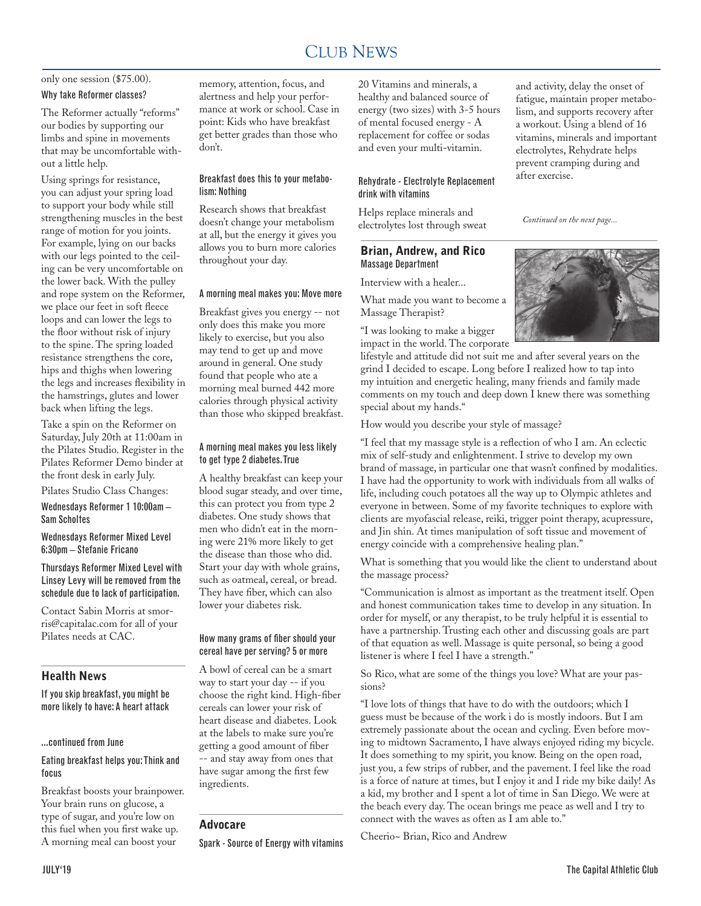#### CLUB NEWS 2000 FOR THE NEWS 2000 FOR THE NEWS 2000 FOR THE NEWS 2000 FOR THE NEWS 2000 FOR THE NEWS 2000 FOR THE NEWS 2000 FOR THE NEWS 2000 FOR THE NEWS 2000 FOR THE NEWS 2000 FOR THE NEWS 2000 FOR THE NEWS 2000 FOR THE N CLUB NEWS

# only one session (\$75.00). Why take Reformer classes?

The Reformer actually "reforms" our bodies by supporting our limbs and spine in movements that may be uncomfortable without a little help.

Using springs for resistance, you can adjust your spring load to support your body while still strengthening muscles in the best range of motion for you joints. For example, lying on our backs with our legs pointed to the ceiling can be very uncomfortable on the lower back. With the pulley and rope system on the Reformer, we place our feet in soft fleece loops and can lower the legs to the floor without risk of injury to the spine. The spring loaded resistance strengthens the core, hips and thighs when lowering the legs and increases flexibility in the hamstrings, glutes and lower back when lifting the legs.

Take a spin on the Reformer on Saturday, July 20th at 11:00am in the Pilates Studio. Register in the Pilates Reformer Demo binder at the front desk in early July.

Pilates Studio Class Changes:

Wednesdays Reformer 1 10:00am – Sam Scholtes

Wednesdays Reformer Mixed Level 6:30pm – Stefanie Fricano

Thursdays Reformer Mixed Level with Linsey Levy will be removed from the schedule due to lack of participation.

Contact Sabin Morris at smorris@capitalac.com for all of your Pilates needs at CAC.

# Health News

If you skip breakfast, you might be more likely to have: A heart attack

#### ...continued from June

#### Eating breakfast helps you: Think and focus

Breakfast boosts your brainpower. Your brain runs on glucose, a type of sugar, and you're low on this fuel when you first wake up. A morning meal can boost your

memory, attention, focus, and alertness and help your performance at work or school. Case in point: Kids who have breakfast get better grades than those who don't.

#### Breakfast does this to your metabolism: Nothing

Research shows that breakfast doesn't change your metabolism at all, but the energy it gives you allows you to burn more calories throughout your day.

#### A morning meal makes you: Move more

Breakfast gives you energy -- not only does this make you more likely to exercise, but you also may tend to get up and move around in general. One study found that people who ate a morning meal burned 442 more calories through physical activity than those who skipped breakfast.

#### A morning meal makes you less likely to get type 2 diabetes. True

A healthy breakfast can keep your blood sugar steady, and over time, this can protect you from type 2 diabetes. One study shows that men who didn't eat in the morning were 21% more likely to get the disease than those who did. Start your day with whole grains, such as oatmeal, cereal, or bread. They have fiber, which can also lower your diabetes risk.

#### How many grams of fiber should your cereal have per serving? 5 or more

A bowl of cereal can be a smart way to start your day -- if you choose the right kind. High-fiber cereals can lower your risk of heart disease and diabetes. Look at the labels to make sure you're getting a good amount of fiber -- and stay away from ones that have sugar among the first few ingredients.

# Advocare

Spark - Source of Energy with vitamins

20 Vitamins and minerals, a healthy and balanced source of energy (two sizes) with 3-5 hours of mental focused energy - A replacement for coffee or sodas and even your multi-vitamin.

#### Rehydrate - Electrolyte Replacement drink with vitamins

Helps replace minerals and electrolytes lost through sweat

# Brian, Andrew, and Rico Massage Department

Interview with a healer...

What made you want to become a Massage Therapist?

"I was looking to make a bigger impact in the world. The corporate



*Continued on the next page...*



lifestyle and attitude did not suit me and after several years on the grind I decided to escape. Long before I realized how to tap into my intuition and energetic healing, many friends and family made comments on my touch and deep down I knew there was something special about my hands."

How would you describe your style of massage?

"I feel that my massage style is a reflection of who I am. An eclectic mix of self-study and enlightenment. I strive to develop my own brand of massage, in particular one that wasn't confined by modalities. I have had the opportunity to work with individuals from all walks of life, including couch potatoes all the way up to Olympic athletes and everyone in between. Some of my favorite techniques to explore with clients are myofascial release, reiki, trigger point therapy, acupressure, and Jin shin. At times manipulation of soft tissue and movement of energy coincide with a comprehensive healing plan."

What is something that you would like the client to understand about the massage process?

"Communication is almost as important as the treatment itself. Open and honest communication takes time to develop in any situation. In order for myself, or any therapist, to be truly helpful it is essential to have a partnership. Trusting each other and discussing goals are part of that equation as well. Massage is quite personal, so being a good listener is where I feel I have a strength."

So Rico, what are some of the things you love? What are your passions?

"I love lots of things that have to do with the outdoors; which I guess must be because of the work i do is mostly indoors. But I am extremely passionate about the ocean and cycling. Even before moving to midtown Sacramento, I have always enjoyed riding my bicycle. It does something to my spirit, you know. Being on the open road, just you, a few strips of rubber, and the pavement. I feel like the road is a force of nature at times, but I enjoy it and I ride my bike daily! As a kid, my brother and I spent a lot of time in San Diego. We were at the beach every day. The ocean brings me peace as well and I try to connect with the waves as often as I am able to."

Cheerio~ Brian, Rico and Andrew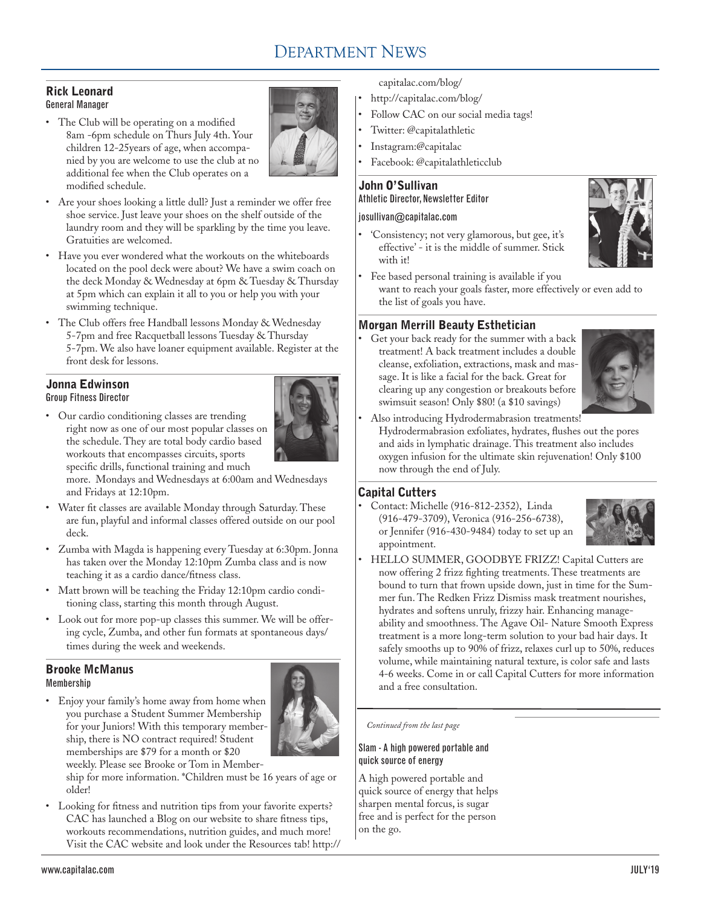# DEPARTMENT NEWS

#### Rick Leonard General Manager

• The Club will be operating on a modified 8am -6pm schedule on Thurs July 4th. Your children 12-25years of age, when accompanied by you are welcome to use the club at no additional fee when the Club operates on a modified schedule.



- Are your shoes looking a little dull? Just a reminder we offer free shoe service. Just leave your shoes on the shelf outside of the laundry room and they will be sparkling by the time you leave. Gratuities are welcomed.
- Have you ever wondered what the workouts on the whiteboards located on the pool deck were about? We have a swim coach on the deck Monday & Wednesday at 6pm & Tuesday & Thursday at 5pm which can explain it all to you or help you with your swimming technique.
- The Club offers free Handball lessons Monday & Wednesday 5-7pm and free Racquetball lessons Tuesday & Thursday 5-7pm. We also have loaner equipment available. Register at the front desk for lessons.

# Jonna Edwinson

Group Fitness Director

• Our cardio conditioning classes are trending right now as one of our most popular classes on the schedule. They are total body cardio based workouts that encompasses circuits, sports specific drills, functional training and much

more. Mondays and Wednesdays at 6:00am and Wednesdays and Fridays at 12:10pm.

- Water fit classes are available Monday through Saturday. These are fun, playful and informal classes offered outside on our pool deck.
- Zumba with Magda is happening every Tuesday at 6:30pm. Jonna has taken over the Monday 12:10pm Zumba class and is now teaching it as a cardio dance/fitness class.
- Matt brown will be teaching the Friday 12:10pm cardio conditioning class, starting this month through August.
- Look out for more pop-up classes this summer. We will be offering cycle, Zumba, and other fun formats at spontaneous days/ times during the week and weekends.

# Brooke McManus Membership

• Enjoy your family's home away from home when you purchase a Student Summer Membership for your Juniors! With this temporary membership, there is NO contract required! Student memberships are \$79 for a month or \$20



weekly. Please see Brooke or Tom in Member-

ship for more information. \*Children must be 16 years of age or older!

• Looking for fitness and nutrition tips from your favorite experts? CAC has launched a Blog on our website to share fitness tips, workouts recommendations, nutrition guides, and much more! Visit the CAC website and look under the Resources tab! http:// capitalac.com/blog/

- http://capitalac.com/blog/
- Follow CAC on our social media tags!
- Twitter: @capitalathletic
- Instagram:@capitalac
- Facebook: @capitalathleticclub

# John O'Sullivan Athletic Director, Newsletter Editor

#### josullivan@capitalac.com



- 'Consistency; not very glamorous, but gee, it's effective' - it is the middle of summer. Stick with it!
- Fee based personal training is available if you want to reach your goals faster, more effectively or even add to the list of goals you have.

# Morgan Merrill Beauty Esthetician

Get your back ready for the summer with a back treatment! A back treatment includes a double cleanse, exfoliation, extractions, mask and massage. It is like a facial for the back. Great for clearing up any congestion or breakouts before swimsuit season! Only \$80! (a \$10 savings)



Also introducing Hydrodermabrasion treatments! Hydrodermabrasion exfoliates, hydrates, flushes out the pores and aids in lymphatic drainage. This treatment also includes oxygen infusion for the ultimate skin rejuvenation! Only \$100 now through the end of July.

# Capital Cutters

• Contact: Michelle (916-812-2352), Linda (916-479-3709), Veronica (916-256-6738), or Jennifer (916-430-9484) today to set up an appointment.



• HELLO SUMMER, GOODBYE FRIZZ! Capital Cutters are now offering 2 frizz fighting treatments. These treatments are bound to turn that frown upside down, just in time for the Summer fun. The Redken Frizz Dismiss mask treatment nourishes, hydrates and softens unruly, frizzy hair. Enhancing manageability and smoothness. The Agave Oil- Nature Smooth Express treatment is a more long-term solution to your bad hair days. It safely smooths up to 90% of frizz, relaxes curl up to 50%, reduces volume, while maintaining natural texture, is color safe and lasts 4-6 weeks. Come in or call Capital Cutters for more information and a free consultation.

*Continued from the last page*

# Slam - A high powered portable and quick source of energy

A high powered portable and quick source of energy that helps sharpen mental forcus, is sugar free and is perfect for the person on the go.